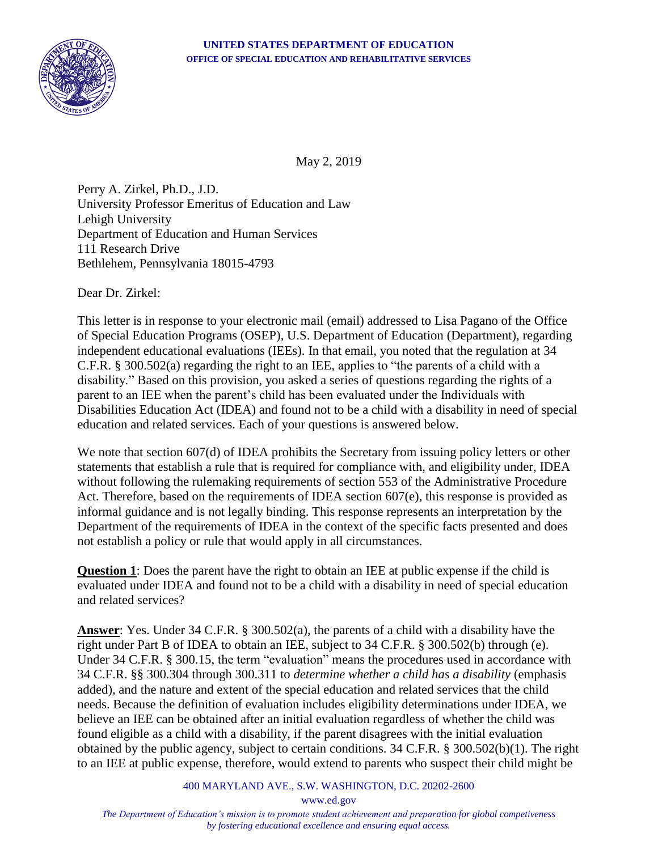

May 2, 2019

Perry A. Zirkel, Ph.D., J.D. University Professor Emeritus of Education and Law Lehigh University Department of Education and Human Services 111 Research Drive Bethlehem, Pennsylvania 18015-4793

Dear Dr. Zirkel:

This letter is in response to your electronic mail (email) addressed to Lisa Pagano of the Office of Special Education Programs (OSEP), U.S. Department of Education (Department), regarding independent educational evaluations (IEEs). In that email, you noted that the regulation at 34 C.F.R. § 300.502(a) regarding the right to an IEE, applies to "the parents of a child with a disability." Based on this provision, you asked a series of questions regarding the rights of a parent to an IEE when the parent's child has been evaluated under the Individuals with Disabilities Education Act (IDEA) and found not to be a child with a disability in need of special education and related services. Each of your questions is answered below.

We note that section 607(d) of IDEA prohibits the Secretary from issuing policy letters or other statements that establish a rule that is required for compliance with, and eligibility under, IDEA without following the rulemaking requirements of section 553 of the Administrative Procedure Act. Therefore, based on the requirements of IDEA section 607(e), this response is provided as informal guidance and is not legally binding. This response represents an interpretation by the Department of the requirements of IDEA in the context of the specific facts presented and does not establish a policy or rule that would apply in all circumstances.

**Question 1**: Does the parent have the right to obtain an IEE at public expense if the child is evaluated under IDEA and found not to be a child with a disability in need of special education and related services?

**Answer**: Yes. Under 34 C.F.R. § 300.502(a), the parents of a child with a disability have the right under Part B of IDEA to obtain an IEE, subject to 34 C.F.R. § 300.502(b) through (e). Under 34 C.F.R. § 300.15, the term "evaluation" means the procedures used in accordance with 34 C.F.R. §§ 300.304 through 300.311 to *determine whether a child has a disability* (emphasis added), and the nature and extent of the special education and related services that the child needs. Because the definition of evaluation includes eligibility determinations under IDEA, we believe an IEE can be obtained after an initial evaluation regardless of whether the child was found eligible as a child with a disability, if the parent disagrees with the initial evaluation obtained by the public agency, subject to certain conditions. 34 C.F.R. § 300.502(b)(1). The right to an IEE at public expense, therefore, would extend to parents who suspect their child might be

400 MARYLAND AVE., S.W. WASHINGTON, D.C. 20202-2600

www.ed.gov

*The Department of Education's mission is to promote student achievement and preparation for global competiveness by fostering educational excellence and ensuring equal access.*